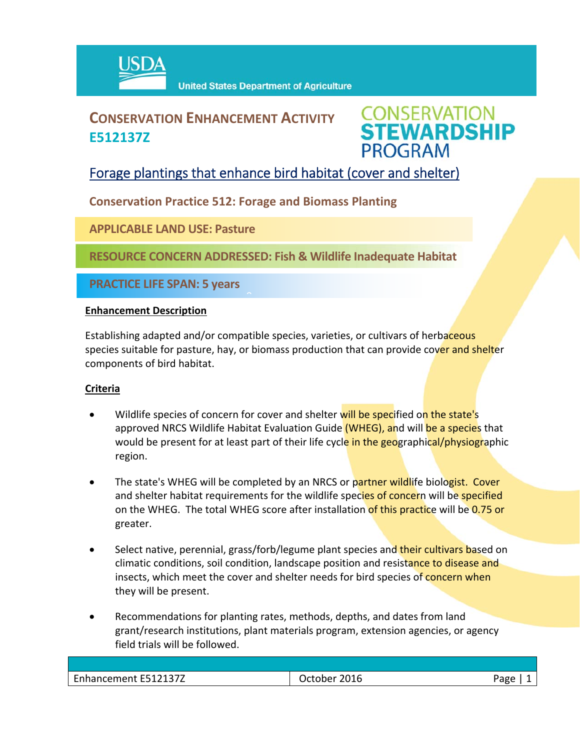

## **CONSERVATION ENHANCEMENT ACTIVITY E512137Z**

# **CONSERVATION<br>STEWARDSHIP PROGRAM**

### Forage plantings that enhance bird habitat (cover and shelter)

**Conservation Practice 512: Forage and Biomass Planting**

 $\hat{a}$ 

**APPLICABLE LAND USE: Pasture**

**RESOURCE CONCERN ADDRESSED: Fish & Wildlife Inadequate Habitat** 

**PRACTICE LIFE SPAN: 5 years**

#### **Enhancement Description**

Establishing adapted and/or compatible species, varieties, or cultivars of herbaceous species suitable for pasture, hay, or biomass production that can provide cover and shelter components of bird habitat.

#### **Criteria**

- Wildlife species of concern for cover and shelter will be specified on the state's approved NRCS Wildlife Habitat Evaluation Guide (WHEG), and will be a species that would be present for at least part of their life cycle in the geographical/physiographic region.
- The state's WHEG will be completed by an NRCS or partner wildlife biologist. Cover and shelter habitat requirements for the wildlife species of concern will be specified on the WHEG. The total WHEG score after installation of this practice will be 0.75 or greater.
- Select native, perennial, grass/forb/legume plant species and their cultivars based on climatic conditions, soil condition, landscape position and resistance to disease and insects, which meet the cover and shelter needs for bird species of concern when they will be present.
- Recommendations for planting rates, methods, depths, and dates from land grant/research institutions, plant materials program, extension agencies, or agency field trials will be followed.

| Enhancement E512137Z | October 2016 | Aמבי |
|----------------------|--------------|------|